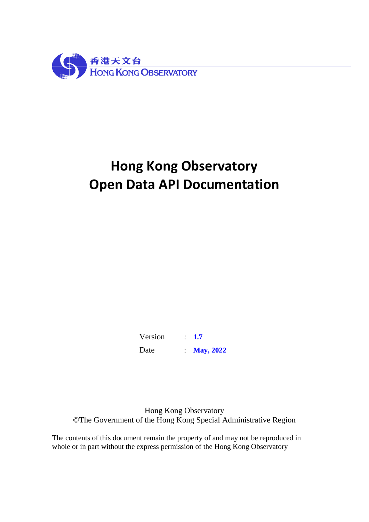

# **Hong Kong Observatory Open Data API Documentation**

Version : **1.7** Date : **May, 2022**

Hong Kong Observatory ©The Government of the Hong Kong Special Administrative Region

The contents of this document remain the property of and may not be reproduced in whole or in part without the express permission of the Hong Kong Observatory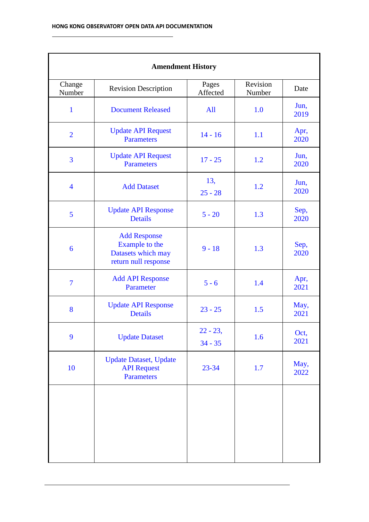| <b>Amendment History</b> |                                                                                            |                          |                    |              |
|--------------------------|--------------------------------------------------------------------------------------------|--------------------------|--------------------|--------------|
| Change<br>Number         | <b>Revision Description</b>                                                                | Pages<br>Affected        | Revision<br>Number | Date         |
| $\mathbf{1}$             | <b>Document Released</b>                                                                   | All                      | 1.0                | Jun,<br>2019 |
| $\overline{2}$           | <b>Update API Request</b><br><b>Parameters</b>                                             | $14 - 16$                | 1.1                | Apr,<br>2020 |
| $\overline{3}$           | <b>Update API Request</b><br><b>Parameters</b>                                             | $17 - 25$                | 1.2                | Jun,<br>2020 |
| $\overline{4}$           | <b>Add Dataset</b>                                                                         | 13,<br>$25 - 28$         | 1.2                | Jun,<br>2020 |
| 5                        | <b>Update API Response</b><br><b>Details</b>                                               | $5 - 20$                 | 1.3                | Sep,<br>2020 |
| 6                        | <b>Add Response</b><br><b>Example</b> to the<br>Datasets which may<br>return null response |                          | 1.3                | Sep,<br>2020 |
| $\overline{7}$           | <b>Add API Response</b><br>Parameter                                                       | $5 - 6$                  | 1.4                | Apr,<br>2021 |
| 8                        | <b>Update API Response</b><br><b>Details</b>                                               | $23 - 25$                | 1.5                | May,<br>2021 |
| 9                        | <b>Update Dataset</b>                                                                      | $22 - 23$ ,<br>$34 - 35$ | 1.6                | Oct,<br>2021 |
| 10                       | <b>Update Dataset</b> , Update<br><b>API Request</b><br><b>Parameters</b>                  | 23-34                    | 1.7                | May,<br>2022 |
|                          |                                                                                            |                          |                    |              |
|                          |                                                                                            |                          |                    |              |

 $\overline{a}$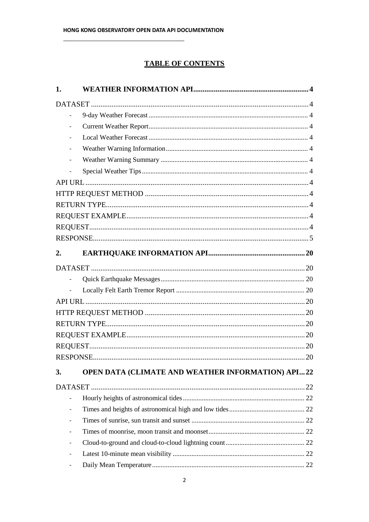# **TABLE OF CONTENTS**

| 1.                       |                                                   |
|--------------------------|---------------------------------------------------|
|                          |                                                   |
| $\overline{\phantom{m}}$ |                                                   |
|                          |                                                   |
| $\qquad \qquad -$        |                                                   |
|                          |                                                   |
|                          |                                                   |
|                          |                                                   |
|                          |                                                   |
|                          |                                                   |
|                          |                                                   |
|                          |                                                   |
|                          |                                                   |
|                          |                                                   |
| 2.                       |                                                   |
|                          |                                                   |
| $\overline{a}$           |                                                   |
|                          |                                                   |
|                          |                                                   |
|                          |                                                   |
|                          |                                                   |
|                          |                                                   |
|                          |                                                   |
|                          |                                                   |
| 3.                       | OPEN DATA (CLIMATE AND WEATHER INFORMATION) API22 |
|                          |                                                   |
|                          |                                                   |
|                          |                                                   |
|                          |                                                   |
|                          |                                                   |
| $\overline{\phantom{a}}$ |                                                   |
| $\overline{\phantom{0}}$ |                                                   |
|                          |                                                   |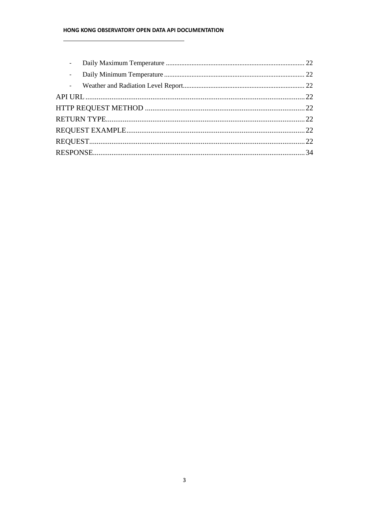#### HONG KONG OBSERVATORY OPEN DATA API DOCUMENTATION

| $\overline{\phantom{0}}$ |  |
|--------------------------|--|
| $\overline{\phantom{a}}$ |  |
|                          |  |
|                          |  |
|                          |  |
|                          |  |
|                          |  |
|                          |  |
|                          |  |
|                          |  |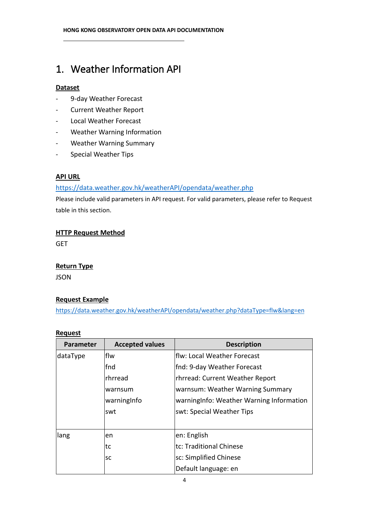# 1. Weather Information API

# **Dataset**

- 9-day Weather Forecast
- Current Weather Report
- Local Weather Forecast
- Weather Warning Information
- Weather Warning Summary
- Special Weather Tips

# **API URL**

# <https://data.weather.gov.hk/weatherAPI/opendata/weather.php>

Please include valid parameters in API request. For valid parameters, please refer to Request table in this section.

# **HTTP Request Method**

**GET** 

# **Return Type**

JSON

# **Request Example**

<https://data.weather.gov.hk/weatherAPI/opendata/weather.php?dataType=flw&lang=en>

#### **Request**

| <b>Parameter</b> | <b>Accepted values</b> | <b>Description</b>                        |
|------------------|------------------------|-------------------------------------------|
| dataType         | lflw                   | flw: Local Weather Forecast               |
|                  | fnd                    | fnd: 9-day Weather Forecast               |
|                  | Irhrread               | rhrread: Current Weather Report           |
|                  | warnsum                | warnsum: Weather Warning Summary          |
|                  | warningInfo            | warning Info: Weather Warning Information |
|                  | swt                    | swt: Special Weather Tips                 |
|                  |                        |                                           |
| lang             | en                     | en: English                               |
|                  | tc                     | tc: Traditional Chinese                   |
|                  | <b>SC</b>              | sc: Simplified Chinese                    |
|                  |                        | Default language: en                      |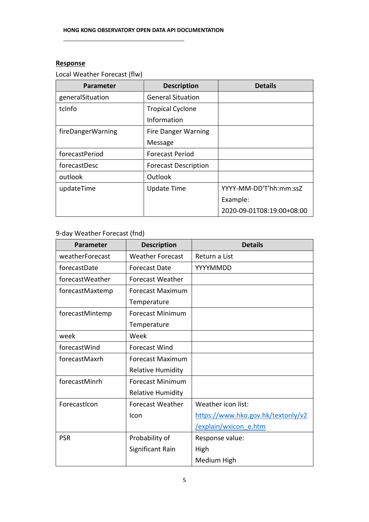# **Response**

Local Weather Forecast (flw)

| <b>Parameter</b>  | <b>Description</b>          | <b>Details</b>            |
|-------------------|-----------------------------|---------------------------|
| generalSituation  | <b>General Situation</b>    |                           |
| tclnfo            | <b>Tropical Cyclone</b>     |                           |
|                   | Information                 |                           |
| fireDangerWarning | <b>Fire Danger Warning</b>  |                           |
|                   | Message                     |                           |
| forecastPeriod    | <b>Forecast Period</b>      |                           |
| forecastDesc      | <b>Forecast Description</b> |                           |
| outlook           | Outlook                     |                           |
| updateTime        | <b>Update Time</b>          | YYYY-MM-DD'T'hh:mm:ssZ    |
|                   |                             | Example:                  |
|                   |                             | 2020-09-01T08:19:00+08:00 |

# 9-day Weather Forecast (fnd)

| Parameter       | <b>Description</b>       | <b>Details</b>                     |
|-----------------|--------------------------|------------------------------------|
| weatherForecast | <b>Weather Forecast</b>  | Return a List                      |
| forecastDate    | <b>Forecast Date</b>     | YYYYMMDD                           |
| forecastWeather | <b>Forecast Weather</b>  |                                    |
| forecastMaxtemp | Forecast Maximum         |                                    |
|                 | Temperature              |                                    |
| forecastMintemp | <b>Forecast Minimum</b>  |                                    |
|                 | Temperature              |                                    |
| week            | Week                     |                                    |
| forecastWind    | <b>Forecast Wind</b>     |                                    |
| forecastMaxrh   | Forecast Maximum         |                                    |
|                 | <b>Relative Humidity</b> |                                    |
| forecastMinrh   | <b>Forecast Minimum</b>  |                                    |
|                 | <b>Relative Humidity</b> |                                    |
| ForecastIcon    | Forecast Weather         | Weather icon list:                 |
|                 | Icon                     | https://www.hko.gov.hk/textonly/v2 |
|                 |                          | /explain/wxicon e.htm              |
| <b>PSR</b>      | Probability of           | Response value:                    |
|                 | Significant Rain         | High                               |
|                 |                          | Medium High                        |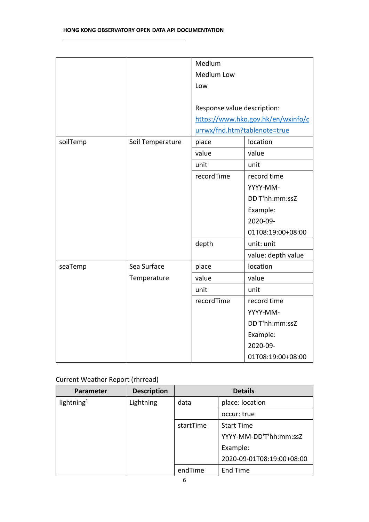|          |                  | Medium                       |                                    |
|----------|------------------|------------------------------|------------------------------------|
|          |                  | Medium Low                   |                                    |
|          |                  | Low                          |                                    |
|          |                  |                              |                                    |
|          |                  | Response value description:  |                                    |
|          |                  |                              | https://www.hko.gov.hk/en/wxinfo/c |
|          |                  | urrwx/fnd.htm?tablenote=true |                                    |
| soilTemp | Soil Temperature | place                        | location                           |
|          |                  | value                        | value                              |
|          |                  | unit                         | unit                               |
|          |                  | recordTime                   | record time                        |
|          |                  |                              | YYYY-MM-                           |
|          |                  |                              | DD'T'hh:mm:ssZ                     |
|          |                  |                              | Example:                           |
|          |                  |                              | 2020-09-                           |
|          |                  |                              | 01T08:19:00+08:00                  |
|          |                  | depth                        | unit: unit                         |
|          |                  |                              | value: depth value                 |
| seaTemp  | Sea Surface      | place                        | location                           |
|          | Temperature      | value                        | value                              |
|          |                  | unit                         | unit                               |
|          |                  | recordTime                   | record time                        |
|          |                  |                              | YYYY-MM-                           |
|          |                  |                              | DD'T'hh:mm:ssZ                     |
|          |                  |                              | Example:                           |
|          |                  |                              | 2020-09-                           |
|          |                  |                              | 01T08:19:00+08:00                  |

# Current Weather Report (rhrread)

| Parameter              | <b>Description</b> | <b>Details</b> |                           |  |
|------------------------|--------------------|----------------|---------------------------|--|
| lightning <sup>1</sup> | Lightning          | data           | place: location           |  |
|                        |                    |                | occur: true               |  |
|                        |                    | startTime      | <b>Start Time</b>         |  |
|                        |                    |                | YYYY-MM-DD'T'hh:mm:ssZ    |  |
|                        |                    |                | Example:                  |  |
|                        |                    |                | 2020-09-01T08:19:00+08:00 |  |
|                        |                    | endTime        | End Time                  |  |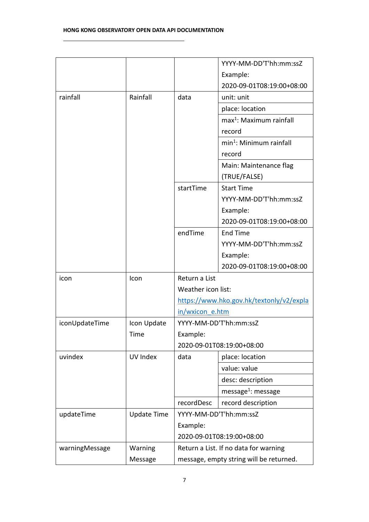|                |                    |                                         | YYYY-MM-DD'T'hh:mm:ssZ                   |
|----------------|--------------------|-----------------------------------------|------------------------------------------|
|                |                    |                                         | Example:                                 |
|                |                    |                                         | 2020-09-01T08:19:00+08:00                |
| rainfall       | Rainfall           | data                                    | unit: unit                               |
|                |                    |                                         | place: location                          |
|                |                    |                                         | $max1$ : Maximum rainfall                |
|                |                    |                                         | record                                   |
|                |                    |                                         | min <sup>1</sup> : Minimum rainfall      |
|                |                    |                                         | record                                   |
|                |                    |                                         | Main: Maintenance flag                   |
|                |                    |                                         | (TRUE/FALSE)                             |
|                |                    | startTime                               | <b>Start Time</b>                        |
|                |                    |                                         | YYYY-MM-DD'T'hh:mm:ssZ                   |
|                |                    |                                         | Example:                                 |
|                |                    |                                         | 2020-09-01T08:19:00+08:00                |
|                |                    | endTime                                 | <b>End Time</b>                          |
|                |                    |                                         | YYYY-MM-DD'T'hh:mm:ssZ                   |
|                |                    |                                         | Example:                                 |
|                |                    |                                         | 2020-09-01T08:19:00+08:00                |
| icon           | Icon               | Return a List                           |                                          |
|                |                    | Weather icon list:                      |                                          |
|                |                    |                                         | https://www.hko.gov.hk/textonly/v2/expla |
|                |                    | in/wxicon e.htm                         |                                          |
| iconUpdateTime | Icon Update        |                                         | YYYY-MM-DD'T'hh:mm:ssZ                   |
|                | Time               | Example:                                |                                          |
|                |                    |                                         | 2020-09-01T08:19:00+08:00                |
| uvindex        | UV Index           | data                                    | place: location                          |
|                |                    |                                         | value: value                             |
|                |                    |                                         | desc: description                        |
|                |                    |                                         | message <sup>1</sup> : message           |
|                |                    | recordDesc                              | record description                       |
| updateTime     | <b>Update Time</b> |                                         | YYYY-MM-DD'T'hh:mm:ssZ                   |
|                |                    | Example:                                |                                          |
|                |                    |                                         | 2020-09-01T08:19:00+08:00                |
| warningMessage | Warning            |                                         | Return a List. If no data for warning    |
|                | Message            | message, empty string will be returned. |                                          |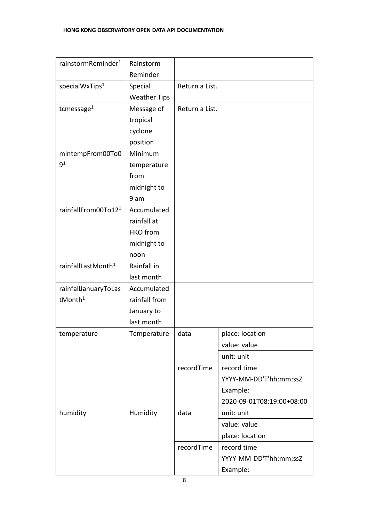#### **HONG KONG OBSERVATORY OPEN DATA API DOCUMENTATION**

| rainstormReminder <sup>1</sup>  | Rainstorm           |                |                           |
|---------------------------------|---------------------|----------------|---------------------------|
|                                 | Reminder            |                |                           |
| specialWxTips <sup>1</sup>      | Special             | Return a List. |                           |
|                                 | <b>Weather Tips</b> |                |                           |
| tcmessage <sup>1</sup>          | Message of          | Return a List. |                           |
|                                 | tropical            |                |                           |
|                                 | cyclone             |                |                           |
|                                 | position            |                |                           |
| mintempFrom00To0                | Minimum             |                |                           |
| 9 <sup>1</sup>                  | temperature         |                |                           |
|                                 | from                |                |                           |
|                                 | midnight to         |                |                           |
|                                 | 9 am                |                |                           |
| rainfallFrom00To12 <sup>1</sup> | Accumulated         |                |                           |
|                                 | rainfall at         |                |                           |
|                                 | <b>HKO</b> from     |                |                           |
|                                 | midnight to         |                |                           |
|                                 | noon                |                |                           |
| rainfallLastMonth <sup>1</sup>  | Rainfall in         |                |                           |
|                                 | last month          |                |                           |
| rainfallJanuaryToLas            | Accumulated         |                |                           |
| tMonth <sup>1</sup>             | rainfall from       |                |                           |
|                                 | January to          |                |                           |
|                                 | last month          |                |                           |
| temperature                     | Temperature         | data           | place: location           |
|                                 |                     |                | value: value              |
|                                 |                     |                | unit: unit                |
|                                 |                     | recordTime     | record time               |
|                                 |                     |                | YYYY-MM-DD'T'hh:mm:ssZ    |
|                                 |                     |                | Example:                  |
|                                 |                     |                | 2020-09-01T08:19:00+08:00 |
| humidity                        | Humidity            | data           | unit: unit                |
|                                 |                     |                | value: value              |
|                                 |                     |                | place: location           |
|                                 |                     | recordTime     | record time               |
|                                 |                     |                | YYYY-MM-DD'T'hh:mm:ssZ    |
|                                 |                     |                | Example:                  |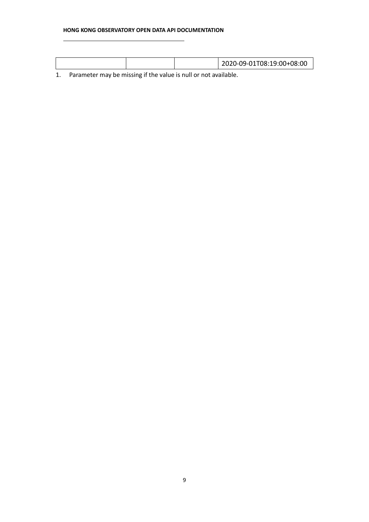#### **HONG KONG OBSERVATORY OPEN DATA API DOCUMENTATION**

|  | 2020-09-01T08:19:00+08:00 |
|--|---------------------------|
|  |                           |

1. Parameter may be missing if the value is null or not available.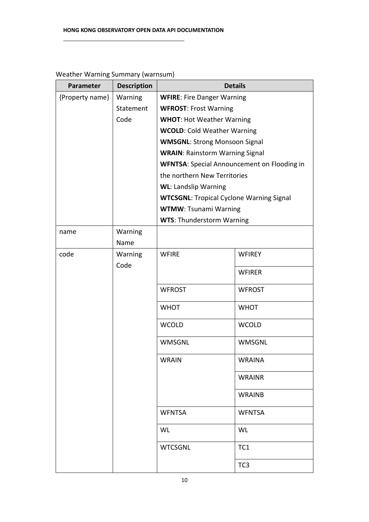| Parameter       | <b>Description</b> | <b>Details</b>                                     |                 |  |
|-----------------|--------------------|----------------------------------------------------|-----------------|--|
| {Property name} | Warning            | <b>WFIRE: Fire Danger Warning</b>                  |                 |  |
|                 | Statement          | <b>WFROST: Frost Warning</b>                       |                 |  |
|                 | Code               | <b>WHOT: Hot Weather Warning</b>                   |                 |  |
|                 |                    | <b>WCOLD: Cold Weather Warning</b>                 |                 |  |
|                 |                    | <b>WMSGNL: Strong Monsoon Signal</b>               |                 |  |
|                 |                    | <b>WRAIN: Rainstorm Warning Signal</b>             |                 |  |
|                 |                    | <b>WFNTSA:</b> Special Announcement on Flooding in |                 |  |
|                 |                    | the northern New Territories                       |                 |  |
|                 |                    | <b>WL: Landslip Warning</b>                        |                 |  |
|                 |                    | <b>WTCSGNL: Tropical Cyclone Warning Signal</b>    |                 |  |
|                 |                    | <b>WTMW: Tsunami Warning</b>                       |                 |  |
|                 |                    | <b>WTS: Thunderstorm Warning</b>                   |                 |  |
| name            | Warning            |                                                    |                 |  |
|                 | Name               |                                                    |                 |  |
| code            | Warning<br>Code    | <b>WFIRE</b>                                       | <b>WFIREY</b>   |  |
|                 |                    |                                                    | <b>WFIRER</b>   |  |
|                 |                    | <b>WFROST</b>                                      | <b>WFROST</b>   |  |
|                 |                    | <b>WHOT</b>                                        | <b>WHOT</b>     |  |
|                 |                    | <b>WCOLD</b>                                       | <b>WCOLD</b>    |  |
|                 |                    | <b>WMSGNL</b>                                      | WMSGNL          |  |
|                 |                    | WRAIN                                              | <b>WRAINA</b>   |  |
|                 |                    |                                                    | <b>WRAINR</b>   |  |
|                 |                    |                                                    | <b>WRAINB</b>   |  |
|                 |                    | <b>WFNTSA</b>                                      | <b>WFNTSA</b>   |  |
|                 |                    | WL                                                 | WL              |  |
|                 |                    | <b>WTCSGNL</b>                                     | TC1             |  |
|                 |                    |                                                    | TC <sub>3</sub> |  |

# Weather Warning Summary (warnsum)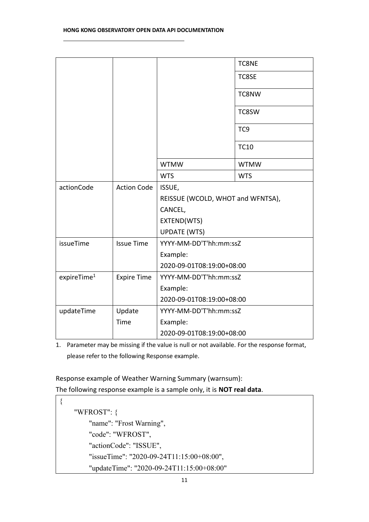|                         |                    |                                   | <b>TC8NE</b>    |
|-------------------------|--------------------|-----------------------------------|-----------------|
|                         |                    |                                   | TC8SE           |
|                         |                    |                                   | TC8NW           |
|                         |                    |                                   | TC8SW           |
|                         |                    |                                   | TC <sub>9</sub> |
|                         |                    |                                   | <b>TC10</b>     |
|                         |                    | <b>WTMW</b>                       | <b>WTMW</b>     |
|                         |                    | <b>WTS</b>                        | <b>WTS</b>      |
| actionCode              | <b>Action Code</b> | ISSUE,                            |                 |
|                         |                    | REISSUE (WCOLD, WHOT and WFNTSA), |                 |
|                         |                    | CANCEL,                           |                 |
|                         |                    | EXTEND(WTS)                       |                 |
|                         |                    | <b>UPDATE (WTS)</b>               |                 |
| issueTime               | <b>Issue Time</b>  | YYYY-MM-DD'T'hh:mm:ssZ            |                 |
|                         |                    | Example:                          |                 |
|                         |                    | 2020-09-01T08:19:00+08:00         |                 |
| expireTime <sup>1</sup> | <b>Expire Time</b> | YYYY-MM-DD'T'hh:mm:ssZ            |                 |
|                         |                    | Example:                          |                 |
|                         |                    | 2020-09-01T08:19:00+08:00         |                 |
| updateTime              | Update             | YYYY-MM-DD'T'hh:mm:ssZ            |                 |
|                         | Time               | Example:                          |                 |
|                         |                    | 2020-09-01T08:19:00+08:00         |                 |

1. Parameter may be missing if the value is null or not available. For the response format, please refer to the following Response example.

Response example of Weather Warning Summary (warnsum):

The following response example is a sample only, it is **NOT real data**.

```
{
    "WFROST": {
        "name": "Frost Warning",
        "code": "WFROST",
        "actionCode": "ISSUE",
        "issueTime": "2020-09-24T11:15:00+08:00",
        "updateTime": "2020-09-24T11:15:00+08:00"
```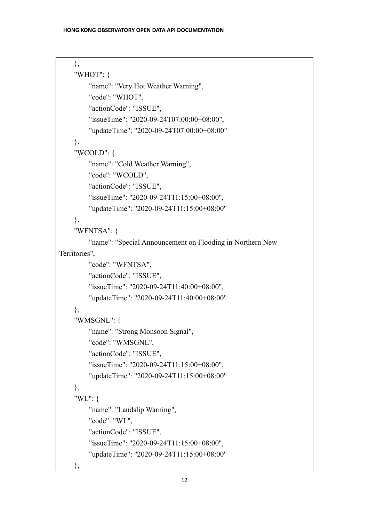```
},
    "WHOT": {
        "name": "Very Hot Weather Warning",
        "code": "WHOT",
        "actionCode": "ISSUE",
        "issueTime": "2020-09-24T07:00:00+08:00",
        "updateTime": "2020-09-24T07:00:00+08:00"
    },
    "WCOLD": {
        "name": "Cold Weather Warning",
        "code": "WCOLD",
        "actionCode": "ISSUE",
        "issueTime": "2020-09-24T11:15:00+08:00",
        "updateTime": "2020-09-24T11:15:00+08:00"
    },
    "WFNTSA": {
        "name": "Special Announcement on Flooding in Northern New 
Territories",
        "code": "WFNTSA",
        "actionCode": "ISSUE",
        "issueTime": "2020-09-24T11:40:00+08:00",
        "updateTime": "2020-09-24T11:40:00+08:00"
    },
    "WMSGNL": {
        "name": "Strong Monsoon Signal",
        "code": "WMSGNL",
        "actionCode": "ISSUE",
        "issueTime": "2020-09-24T11:15:00+08:00",
        "updateTime": "2020-09-24T11:15:00+08:00"
    },
    "WL": {
        "name": "Landslip Warning",
        "code": "WL",
        "actionCode": "ISSUE",
        "issueTime": "2020-09-24T11:15:00+08:00",
        "updateTime": "2020-09-24T11:15:00+08:00"
```
},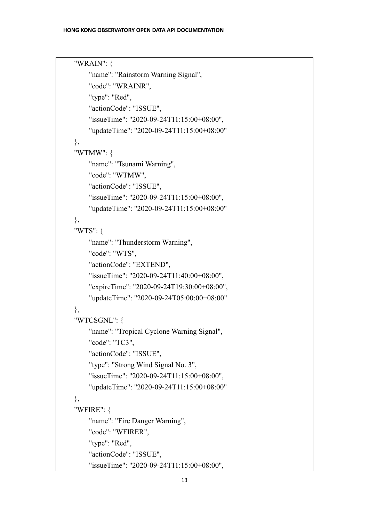```
"WRAIN": {
    "name": "Rainstorm Warning Signal",
    "code": "WRAINR",
    "type": "Red",
    "actionCode": "ISSUE",
    "issueTime": "2020-09-24T11:15:00+08:00",
    "updateTime": "2020-09-24T11:15:00+08:00"
},
"WTMW": {
    "name": "Tsunami Warning",
    "code": "WTMW",
    "actionCode": "ISSUE",
    "issueTime": "2020-09-24T11:15:00+08:00",
    "updateTime": "2020-09-24T11:15:00+08:00"
},
"WTS": {
    "name": "Thunderstorm Warning",
    "code": "WTS",
    "actionCode": "EXTEND",
    "issueTime": "2020-09-24T11:40:00+08:00",
    "expireTime": "2020-09-24T19:30:00+08:00",
    "updateTime": "2020-09-24T05:00:00+08:00"
},
"WTCSGNL": {
    "name": "Tropical Cyclone Warning Signal",
    "code": "TC3",
    "actionCode": "ISSUE",
    "type": "Strong Wind Signal No. 3",
    "issueTime": "2020-09-24T11:15:00+08:00",
    "updateTime": "2020-09-24T11:15:00+08:00"
},
"WFIRE": {
    "name": "Fire Danger Warning",
    "code": "WFIRER",
    "type": "Red",
    "actionCode": "ISSUE",
    "issueTime": "2020-09-24T11:15:00+08:00",
```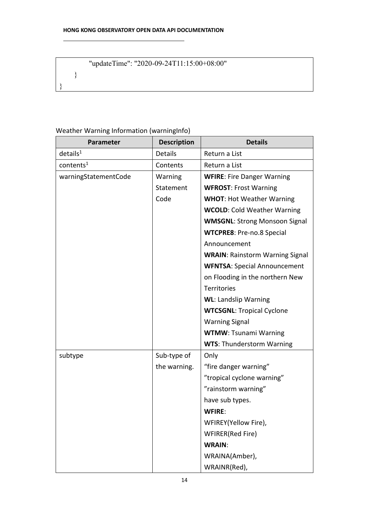# "updateTime": "2020-09-24T11:15:00+08:00"

}

}

# Weather Warning Information (warningInfo)

| Parameter               | <b>Description</b> | <b>Details</b>                         |
|-------------------------|--------------------|----------------------------------------|
| $deta$ ils <sup>1</sup> | Details            | Return a List                          |
| contents <sup>1</sup>   | Contents           | Return a List                          |
| warningStatementCode    | Warning            | <b>WFIRE: Fire Danger Warning</b>      |
|                         | Statement          | <b>WFROST: Frost Warning</b>           |
|                         | Code               | <b>WHOT: Hot Weather Warning</b>       |
|                         |                    | <b>WCOLD: Cold Weather Warning</b>     |
|                         |                    | <b>WMSGNL: Strong Monsoon Signal</b>   |
|                         |                    | <b>WTCPRE8: Pre-no.8 Special</b>       |
|                         |                    | Announcement                           |
|                         |                    | <b>WRAIN: Rainstorm Warning Signal</b> |
|                         |                    | <b>WFNTSA: Special Announcement</b>    |
|                         |                    | on Flooding in the northern New        |
|                         |                    | Territories                            |
|                         |                    | <b>WL: Landslip Warning</b>            |
|                         |                    | <b>WTCSGNL: Tropical Cyclone</b>       |
|                         |                    | <b>Warning Signal</b>                  |
|                         |                    | <b>WTMW: Tsunami Warning</b>           |
|                         |                    | <b>WTS: Thunderstorm Warning</b>       |
| subtype                 | Sub-type of        | Only                                   |
|                         | the warning.       | "fire danger warning"                  |
|                         |                    | "tropical cyclone warning"             |
|                         |                    | "rainstorm warning"                    |
|                         |                    | have sub types.                        |
|                         |                    | <b>WFIRE:</b>                          |
|                         |                    | WFIREY(Yellow Fire),                   |
|                         |                    | WFIRER(Red Fire)                       |
|                         |                    | <b>WRAIN:</b>                          |
|                         |                    | WRAINA(Amber),                         |
|                         |                    | WRAINR(Red),                           |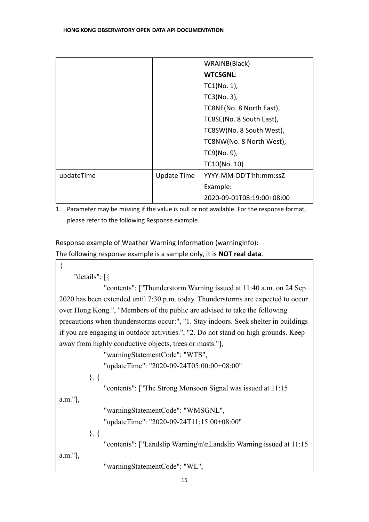|            |                    | WRAINB(Black)             |
|------------|--------------------|---------------------------|
|            |                    | <b>WTCSGNL:</b>           |
|            |                    | $TC1(No. 1)$ ,            |
|            |                    | $TC3(No. 3)$ ,            |
|            |                    | TC8NE(No. 8 North East),  |
|            |                    | TC8SE(No. 8 South East),  |
|            |                    | TC8SW(No. 8 South West),  |
|            |                    | TC8NW(No. 8 North West),  |
|            |                    | TC9(No. 9),               |
|            |                    | TC10(No. 10)              |
| updateTime | <b>Update Time</b> | YYYY-MM-DD'T'hh:mm:ssZ    |
|            |                    | Example:                  |
|            |                    | 2020-09-01T08:19:00+08:00 |

1. Parameter may be missing if the value is null or not available. For the response format, please refer to the following Response example.

Response example of Weather Warning Information (warningInfo): The following response example is a sample only, it is **NOT real data**.

{

```
"details": [{
```
"contents": ["Thunderstorm Warning issued at 11:40 a.m. on 24 Sep 2020 has been extended until 7:30 p.m. today. Thunderstorms are expected to occur over Hong Kong.", "Members of the public are advised to take the following precautions when thunderstorms occur:", "1. Stay indoors. Seek shelter in buildings if you are engaging in outdoor activities.", "2. Do not stand on high grounds. Keep away from highly conductive objects, trees or masts."],

"warningStatementCode": "WTS",

"updateTime": "2020-09-24T05:00:00+08:00"

}, {

"contents": ["The Strong Monsoon Signal was issued at 11:15

a.m."],

```
"warningStatementCode": "WMSGNL",
```

```
"updateTime": "2020-09-24T11:15:00+08:00"
```
}, {

"contents": ["Landslip Warning\n\nLandslip Warning issued at 11:15

a.m."],

"warningStatementCode": "WL",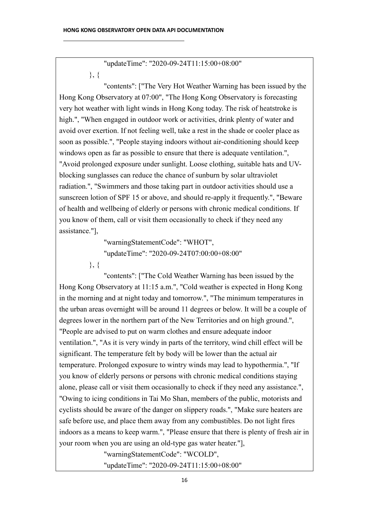"updateTime": "2020-09-24T11:15:00+08:00" }, {

"contents": ["The Very Hot Weather Warning has been issued by the Hong Kong Observatory at 07:00", "The Hong Kong Observatory is forecasting very hot weather with light winds in Hong Kong today. The risk of heatstroke is high.", "When engaged in outdoor work or activities, drink plenty of water and avoid over exertion. If not feeling well, take a rest in the shade or cooler place as soon as possible.", "People staying indoors without air-conditioning should keep windows open as far as possible to ensure that there is adequate ventilation.", "Avoid prolonged exposure under sunlight. Loose clothing, suitable hats and UVblocking sunglasses can reduce the chance of sunburn by solar ultraviolet radiation.", "Swimmers and those taking part in outdoor activities should use a sunscreen lotion of SPF 15 or above, and should re-apply it frequently.", "Beware of health and wellbeing of elderly or persons with chronic medical conditions. If you know of them, call or visit them occasionally to check if they need any assistance."],

> "warningStatementCode": "WHOT", "updateTime": "2020-09-24T07:00:00+08:00"

}, {

"contents": ["The Cold Weather Warning has been issued by the Hong Kong Observatory at 11:15 a.m.", "Cold weather is expected in Hong Kong in the morning and at night today and tomorrow.", "The minimum temperatures in the urban areas overnight will be around 11 degrees or below. It will be a couple of degrees lower in the northern part of the New Territories and on high ground.", "People are advised to put on warm clothes and ensure adequate indoor ventilation.", "As it is very windy in parts of the territory, wind chill effect will be significant. The temperature felt by body will be lower than the actual air temperature. Prolonged exposure to wintry winds may lead to hypothermia.", "If you know of elderly persons or persons with chronic medical conditions staying alone, please call or visit them occasionally to check if they need any assistance.", "Owing to icing conditions in Tai Mo Shan, members of the public, motorists and cyclists should be aware of the danger on slippery roads.", "Make sure heaters are safe before use, and place them away from any combustibles. Do not light fires indoors as a means to keep warm.", "Please ensure that there is plenty of fresh air in your room when you are using an old-type gas water heater."],

"warningStatementCode": "WCOLD",

"updateTime": "2020-09-24T11:15:00+08:00"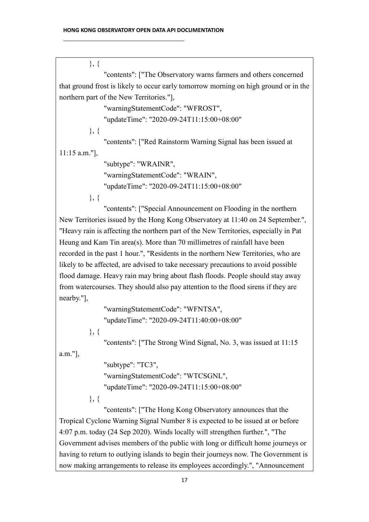}, { "contents": ["The Observatory warns farmers and others concerned that ground frost is likely to occur early tomorrow morning on high ground or in the northern part of the New Territories."], "warningStatementCode": "WFROST", "updateTime": "2020-09-24T11:15:00+08:00" }, { "contents": ["Red Rainstorm Warning Signal has been issued at 11:15 a.m."], "subtype": "WRAINR", "warningStatementCode": "WRAIN", "updateTime": "2020-09-24T11:15:00+08:00" }, { "contents": ["Special Announcement on Flooding in the northern New Territories issued by the Hong Kong Observatory at 11:40 on 24 September.", "Heavy rain is affecting the northern part of the New Territories, especially in Pat

Heung and Kam Tin area(s). More than 70 millimetres of rainfall have been recorded in the past 1 hour.", "Residents in the northern New Territories, who are likely to be affected, are advised to take necessary precautions to avoid possible flood damage. Heavy rain may bring about flash floods. People should stay away from watercourses. They should also pay attention to the flood sirens if they are nearby."],

```
"warningStatementCode": "WFNTSA",
"updateTime": "2020-09-24T11:40:00+08:00"
```
}, {

"contents": ["The Strong Wind Signal, No. 3, was issued at 11:15

a.m."],

"subtype": "TC3", "warningStatementCode": "WTCSGNL", "updateTime": "2020-09-24T11:15:00+08:00"

}, {

"contents": ["The Hong Kong Observatory announces that the Tropical Cyclone Warning Signal Number 8 is expected to be issued at or before 4:07 p.m. today (24 Sep 2020). Winds locally will strengthen further.", "The Government advises members of the public with long or difficult home journeys or having to return to outlying islands to begin their journeys now. The Government is now making arrangements to release its employees accordingly.", "Announcement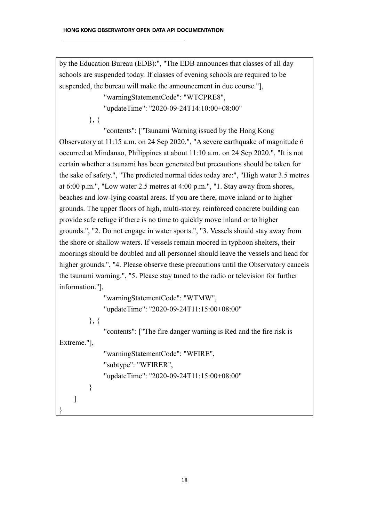by the Education Bureau (EDB):", "The EDB announces that classes of all day schools are suspended today. If classes of evening schools are required to be suspended, the bureau will make the announcement in due course."],

"warningStatementCode": "WTCPRE8",

"updateTime": "2020-09-24T14:10:00+08:00"

}, {

"contents": ["Tsunami Warning issued by the Hong Kong

Observatory at 11:15 a.m. on 24 Sep 2020.", "A severe earthquake of magnitude 6 occurred at Mindanao, Philippines at about 11:10 a.m. on 24 Sep 2020.", "It is not certain whether a tsunami has been generated but precautions should be taken for the sake of safety.", "The predicted normal tides today are:", "High water 3.5 metres at 6:00 p.m.", "Low water 2.5 metres at 4:00 p.m.", "1. Stay away from shores, beaches and low-lying coastal areas. If you are there, move inland or to higher grounds. The upper floors of high, multi-storey, reinforced concrete building can provide safe refuge if there is no time to quickly move inland or to higher grounds.", "2. Do not engage in water sports.", "3. Vessels should stay away from the shore or shallow waters. If vessels remain moored in typhoon shelters, their moorings should be doubled and all personnel should leave the vessels and head for higher grounds.", "4. Please observe these precautions until the Observatory cancels the tsunami warning.", "5. Please stay tuned to the radio or television for further information."],

```
"warningStatementCode": "WTMW",
"updateTime": "2020-09-24T11:15:00+08:00"
```
}, {

}

"contents": ["The fire danger warning is Red and the fire risk is

Extreme."],

]

"warningStatementCode": "WFIRE", "subtype": "WFIRER", "updateTime": "2020-09-24T11:15:00+08:00"

}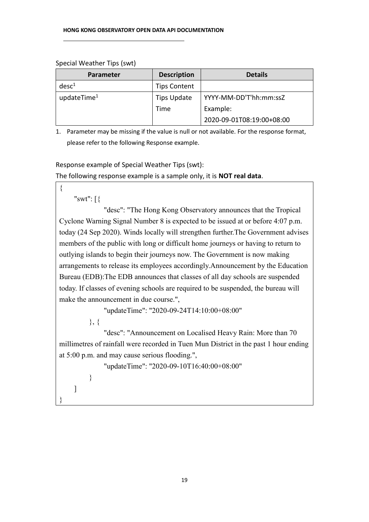#### Special Weather Tips (swt)

| <b>Parameter</b>        | <b>Description</b>  | <b>Details</b>            |
|-------------------------|---------------------|---------------------------|
| desc <sup>1</sup>       | <b>Tips Content</b> |                           |
| updateTime <sup>1</sup> | <b>Tips Update</b>  | YYYY-MM-DD'T'hh:mm:ssZ    |
|                         | Time                | Example:                  |
|                         |                     | 2020-09-01T08:19:00+08:00 |

1. Parameter may be missing if the value is null or not available. For the response format, please refer to the following Response example.

Response example of Special Weather Tips (swt): The following response example is a sample only, it is **NOT real data**.

{

"swt": [{

"desc": "The Hong Kong Observatory announces that the Tropical Cyclone Warning Signal Number 8 is expected to be issued at or before 4:07 p.m. today (24 Sep 2020). Winds locally will strengthen further.The Government advises members of the public with long or difficult home journeys or having to return to outlying islands to begin their journeys now. The Government is now making arrangements to release its employees accordingly.Announcement by the Education Bureau (EDB):The EDB announces that classes of all day schools are suspended today. If classes of evening schools are required to be suspended, the bureau will make the announcement in due course.",

"updateTime": "2020-09-24T14:10:00+08:00"

}, {

}

]

}

"desc": "Announcement on Localised Heavy Rain: More than 70 millimetres of rainfall were recorded in Tuen Mun District in the past 1 hour ending at 5:00 p.m. and may cause serious flooding.",

"updateTime": "2020-09-10T16:40:00+08:00"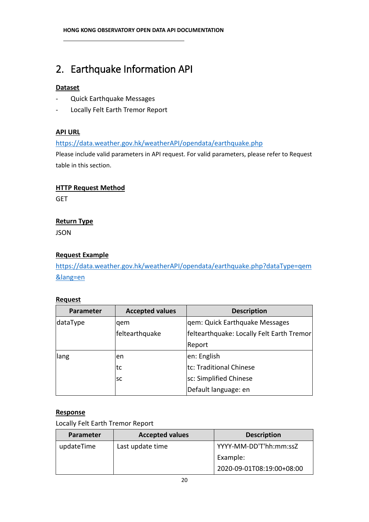# 2. Earthquake Information API

# **Dataset**

- Quick Earthquake Messages
- Locally Felt Earth Tremor Report

# **API URL**

<https://data.weather.gov.hk/weatherAPI/opendata/earthquake.php>

Please include valid parameters in API request. For valid parameters, please refer to Request table in this section.

# **HTTP Request Method**

**GET** 

# **Return Type**

JSON

# **Request Example**

[https://data.weather.gov.hk/weatherAPI/opendata/earthquake.php?dataType=qem](https://data.weather.gov.hk/weatherAPI/opendata/earthquake.php?dataType=qem&lang=en) [&lang=en](https://data.weather.gov.hk/weatherAPI/opendata/earthquake.php?dataType=qem&lang=en)

# **Request**

| <b>Parameter</b> | <b>Accepted values</b> | <b>Description</b>                        |
|------------------|------------------------|-------------------------------------------|
| dataType         | lgem                   | gem: Quick Earthquake Messages            |
|                  | feltearthquake         | feltearthquake: Locally Felt Earth Tremor |
|                  |                        | Report                                    |
| llang            | len                    | en: English                               |
|                  | tc                     | tc: Traditional Chinese                   |
|                  | <b>SC</b>              | sc: Simplified Chinese                    |
|                  |                        | Default language: en                      |

# **Response**

Locally Felt Earth Tremor Report

| Parameter  | <b>Accepted values</b> | <b>Description</b>        |
|------------|------------------------|---------------------------|
| updateTime | Last update time       | YYYY-MM-DD'T'hh:mm:ssZ    |
|            |                        | Example:                  |
|            |                        | 2020-09-01T08:19:00+08:00 |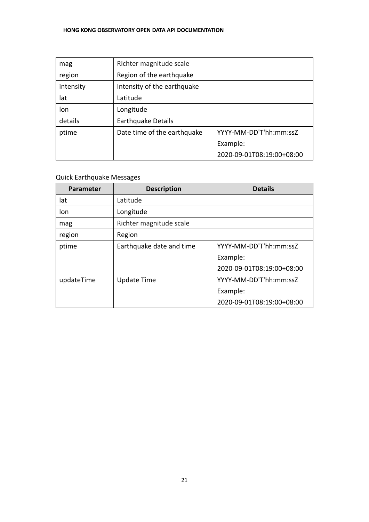#### **HONG KONG OBSERVATORY OPEN DATA API DOCUMENTATION**

| mag       | Richter magnitude scale     |                           |
|-----------|-----------------------------|---------------------------|
| region    | Region of the earthquake    |                           |
| intensity | Intensity of the earthquake |                           |
| lat       | Latitude                    |                           |
| lon       | Longitude                   |                           |
| details   | <b>Earthquake Details</b>   |                           |
| ptime     | Date time of the earthquake | YYYY-MM-DD'T'hh:mm:ssZ    |
|           |                             | Example:                  |
|           |                             | 2020-09-01T08:19:00+08:00 |

# Quick Earthquake Messages

| <b>Parameter</b> | <b>Description</b>       | <b>Details</b>            |
|------------------|--------------------------|---------------------------|
| lat              | Latitude                 |                           |
| lon              | Longitude                |                           |
| mag              | Richter magnitude scale  |                           |
| region           | Region                   |                           |
| ptime            | Earthquake date and time | YYYY-MM-DD'T'hh:mm:ssZ    |
|                  |                          | Example:                  |
|                  |                          | 2020-09-01T08:19:00+08:00 |
| updateTime       | <b>Update Time</b>       | YYYY-MM-DD'T'hh:mm:ssZ    |
|                  |                          | Example:                  |
|                  |                          | 2020-09-01T08:19:00+08:00 |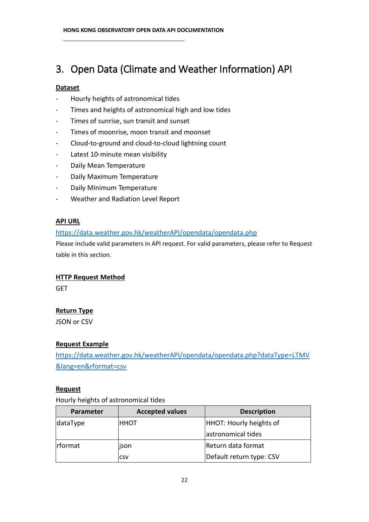# 3. Open Data (Climate and Weather Information) API

#### **Dataset**

- Hourly heights of astronomical tides
- Times and heights of astronomical high and low tides
- Times of sunrise, sun transit and sunset
- Times of moonrise, moon transit and moonset
- Cloud-to-ground and cloud-to-cloud lightning count
- Latest 10-minute mean visibility
- Daily Mean Temperature
- Daily Maximum Temperature
- Daily Minimum Temperature
- Weather and Radiation Level Report

#### **API URL**

#### <https://data.weather.gov.hk/weatherAPI/opendata/opendata.php>

Please include valid parameters in API request. For valid parameters, please refer to Request table in this section.

#### **HTTP Request Method**

GET

#### **Return Type**

JSON or CSV

#### **Request Example**

[https://data.weather.gov.hk/weatherAPI/opendata/opendata.php?dataType=LTMV](https://data.weather.gov.hk/weatherAPI/opendata/opendata.php?dataType=LTMV&lang=en&rformat=csv) [&lang=en&rformat=csv](https://data.weather.gov.hk/weatherAPI/opendata/opendata.php?dataType=LTMV&lang=en&rformat=csv)

#### **Request**

Hourly heights of astronomical tides

| <b>Parameter</b> | <b>Accepted values</b> | <b>Description</b>       |
|------------------|------------------------|--------------------------|
| dataType         | ннот                   | HHOT: Hourly heights of  |
|                  |                        | astronomical tides       |
| <b>I</b> rformat | ison                   | Return data format       |
|                  | ICSV                   | Default return type: CSV |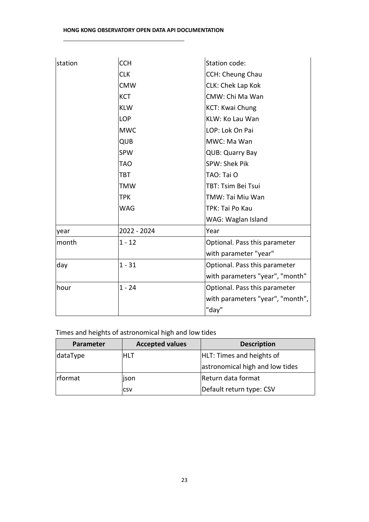| station | <b>CCH</b>  | Station code:                    |
|---------|-------------|----------------------------------|
|         | <b>CLK</b>  | <b>CCH: Cheung Chau</b>          |
|         | <b>CMW</b>  | CLK: Chek Lap Kok                |
|         | <b>KCT</b>  | CMW: Chi Ma Wan                  |
|         | <b>KLW</b>  | KCT: Kwai Chung                  |
|         | <b>LOP</b>  | KLW: Ko Lau Wan                  |
|         | <b>MWC</b>  | LOP: Lok On Pai                  |
|         | QUB         | MWC: Ma Wan                      |
|         | <b>SPW</b>  | <b>QUB: Quarry Bay</b>           |
|         | <b>TAO</b>  | SPW: Shek Pik                    |
|         | <b>TBT</b>  | TAO: Tai O                       |
|         | TMW         | TBT: Tsim Bei Tsui               |
|         | <b>TPK</b>  | TMW: Tai Miu Wan                 |
|         | <b>WAG</b>  | TPK: Tai Po Kau                  |
|         |             | WAG: Waglan Island               |
| year    | 2022 - 2024 | Year                             |
| month   | $1 - 12$    | Optional. Pass this parameter    |
|         |             | with parameter "year"            |
| day     | $1 - 31$    | Optional. Pass this parameter    |
|         |             | with parameters "year", "month"  |
| hour    | $1 - 24$    | Optional. Pass this parameter    |
|         |             | with parameters "year", "month", |
|         |             | "day"                            |

Times and heights of astronomical high and low tides

| Parameter        | <b>Accepted values</b> | <b>Description</b>              |
|------------------|------------------------|---------------------------------|
| dataType         | IHLT                   | HLT: Times and heights of       |
|                  |                        | astronomical high and low tides |
| <b>I</b> rformat | json                   | Return data format              |
|                  | <b>CSV</b>             | Default return type: CSV        |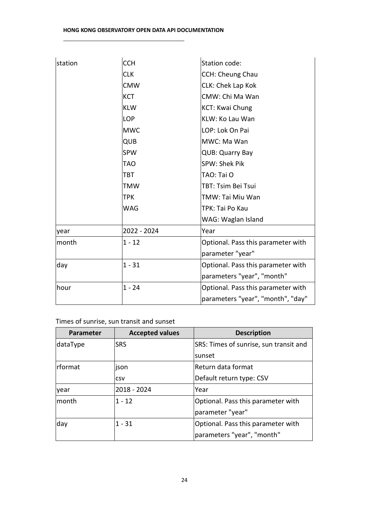#### **HONG KONG OBSERVATORY OPEN DATA API DOCUMENTATION**

| station | <b>CCH</b>  | Station code:                      |
|---------|-------------|------------------------------------|
|         | <b>CLK</b>  | CCH: Cheung Chau                   |
|         | <b>CMW</b>  | CLK: Chek Lap Kok                  |
|         | <b>KCT</b>  | CMW: Chi Ma Wan                    |
|         | <b>KLW</b>  | <b>KCT: Kwai Chung</b>             |
|         | <b>LOP</b>  | KLW: Ko Lau Wan                    |
|         | <b>MWC</b>  | LOP: Lok On Pai                    |
|         | <b>QUB</b>  | MWC: Ma Wan                        |
|         | <b>SPW</b>  | <b>QUB: Quarry Bay</b>             |
|         | <b>TAO</b>  | SPW: Shek Pik                      |
|         | TBT         | TAO: Tai O                         |
|         | TMW         | TBT: Tsim Bei Tsui                 |
|         | TPK         | TMW: Tai Miu Wan                   |
|         | <b>WAG</b>  | TPK: Tai Po Kau                    |
|         |             | WAG: Waglan Island                 |
| year    | 2022 - 2024 | Year                               |
| month   | $1 - 12$    | Optional. Pass this parameter with |
|         |             | parameter "year"                   |
| day     | $1 - 31$    | Optional. Pass this parameter with |
|         |             | parameters "year", "month"         |
| hour    | $1 - 24$    | Optional. Pass this parameter with |
|         |             | parameters "year", "month", "day"  |

# Times of sunrise, sun transit and sunset

| Parameter   | <b>Accepted values</b> | <b>Description</b>                     |
|-------------|------------------------|----------------------------------------|
| dataType    | <b>SRS</b>             | SRS: Times of sunrise, sun transit and |
|             |                        | Isunset                                |
| Irformat    | ison                   | Return data format                     |
|             | <b>CSV</b>             | Default return type: CSV               |
| <b>vear</b> | 2018 - 2024            | Year                                   |
| lmonth      | $1 - 12$               | Optional. Pass this parameter with     |
|             |                        | parameter "year"                       |
| day         | $1 - 31$               | Optional. Pass this parameter with     |
|             |                        | parameters "year", "month"             |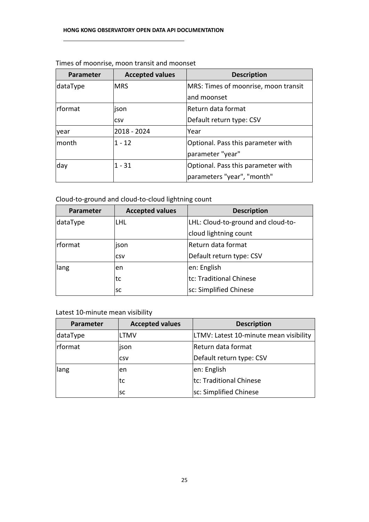| Parameter      | <b>Accepted values</b> | <b>Description</b>                   |
|----------------|------------------------|--------------------------------------|
| dataType       | <b>MRS</b>             | MRS: Times of moonrise, moon transit |
|                |                        | and moonset                          |
| <b>rformat</b> | ison                   | Return data format                   |
|                | <b>CSV</b>             | Default return type: CSV             |
| year           | 2018 - 2024            | Year                                 |
| lmonth         | $1 - 12$               | Optional. Pass this parameter with   |
|                |                        | parameter "year"                     |
| day            | $1 - 31$               | Optional. Pass this parameter with   |
|                |                        | parameters "year", "month"           |

#### Times of moonrise, moon transit and moonset

Cloud-to-ground and cloud-to-cloud lightning count

| Parameter        | <b>Accepted values</b> | <b>Description</b>                 |
|------------------|------------------------|------------------------------------|
| dataType         | LHL.                   | LHL: Cloud-to-ground and cloud-to- |
|                  |                        | cloud lightning count              |
| <b>I</b> rformat | ison                   | Return data format                 |
|                  | <b>CSV</b>             | Default return type: CSV           |
| lang             | len                    | en: English                        |
|                  | tc                     | tc: Traditional Chinese            |
|                  | <b>SC</b>              | sc: Simplified Chinese             |

Latest 10-minute mean visibility

| Parameter | <b>Accepted values</b> | <b>Description</b>                     |
|-----------|------------------------|----------------------------------------|
| dataType  | LTMV                   | LTMV: Latest 10-minute mean visibility |
| rformat   | ison                   | Return data format                     |
|           | <b>CSV</b>             | Default return type: CSV               |
| lang      | len                    | en: English                            |
|           | Itc                    | tc: Traditional Chinese                |
|           | lsc                    | sc: Simplified Chinese                 |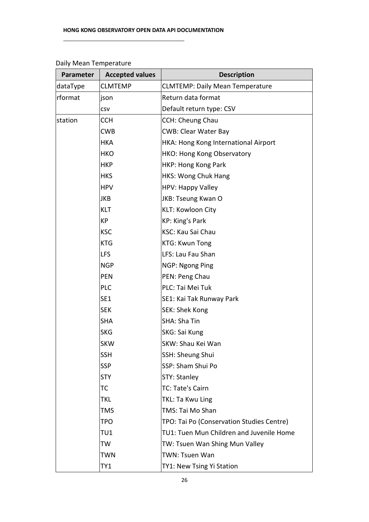| Parameter | <b>Accepted values</b> | <b>Description</b>                        |
|-----------|------------------------|-------------------------------------------|
| dataType  | <b>CLMTEMP</b>         | <b>CLMTEMP: Daily Mean Temperature</b>    |
| rformat   | json                   | Return data format                        |
|           | CSV                    | Default return type: CSV                  |
| station   | <b>CCH</b>             | <b>CCH: Cheung Chau</b>                   |
|           | <b>CWB</b>             | <b>CWB: Clear Water Bay</b>               |
|           | <b>HKA</b>             | HKA: Hong Kong International Airport      |
|           | <b>HKO</b>             | <b>HKO: Hong Kong Observatory</b>         |
|           | <b>HKP</b>             | HKP: Hong Kong Park                       |
|           | <b>HKS</b>             | <b>HKS: Wong Chuk Hang</b>                |
|           | <b>HPV</b>             | <b>HPV: Happy Valley</b>                  |
|           | JKB                    | JKB: Tseung Kwan O                        |
|           | <b>KLT</b>             | KLT: Kowloon City                         |
|           | КP                     | <b>KP: King's Park</b>                    |
|           | <b>KSC</b>             | <b>KSC: Kau Sai Chau</b>                  |
|           | <b>KTG</b>             | <b>KTG: Kwun Tong</b>                     |
|           | <b>LFS</b>             | LFS: Lau Fau Shan                         |
|           | <b>NGP</b>             | NGP: Ngong Ping                           |
|           | <b>PEN</b>             | PEN: Peng Chau                            |
|           | <b>PLC</b>             | PLC: Tai Mei Tuk                          |
|           | SE <sub>1</sub>        | SE1: Kai Tak Runway Park                  |
|           | <b>SEK</b>             | SEK: Shek Kong                            |
|           | <b>SHA</b>             | <b>SHA: Sha Tin</b>                       |
|           | <b>SKG</b>             | SKG: Sai Kung                             |
|           | <b>SKW</b>             | SKW: Shau Kei Wan                         |
|           | <b>SSH</b>             | SSH: Sheung Shui                          |
|           | <b>SSP</b>             | SSP: Sham Shui Po                         |
|           | <b>STY</b>             | <b>STY: Stanley</b>                       |
|           | ТC                     | TC: Tate's Cairn                          |
|           | <b>TKL</b>             | TKL: Ta Kwu Ling                          |
|           | <b>TMS</b>             | TMS: Tai Mo Shan                          |
|           | <b>TPO</b>             | TPO: Tai Po (Conservation Studies Centre) |
|           | TU1                    | TU1: Tuen Mun Children and Juvenile Home  |
|           | TW                     | TW: Tsuen Wan Shing Mun Valley            |
|           | TWN                    | TWN: Tsuen Wan                            |
|           | TY1                    | TY1: New Tsing Yi Station                 |

# Daily Mean Temperature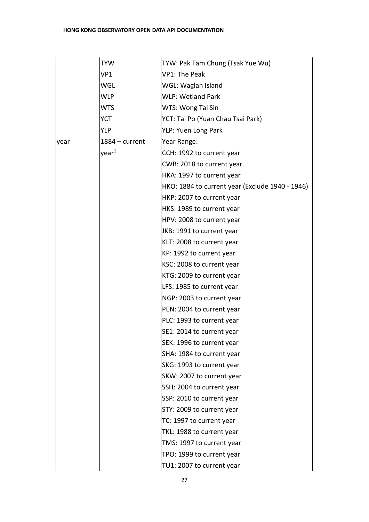|      | <b>TYW</b>        | TYW: Pak Tam Chung (Tsak Yue Wu)                |
|------|-------------------|-------------------------------------------------|
|      | VP1               | <b>VP1: The Peak</b>                            |
|      | WGL               | WGL: Waglan Island                              |
|      | <b>WLP</b>        | <b>WLP: Wetland Park</b>                        |
|      | <b>WTS</b>        | WTS: Wong Tai Sin                               |
|      | YCT               | YCT: Tai Po (Yuan Chau Tsai Park)               |
|      | YLP               | YLP: Yuen Long Park                             |
| year | $1884 - current$  | Year Range:                                     |
|      | year <sup>1</sup> | CCH: 1992 to current year                       |
|      |                   | CWB: 2018 to current year                       |
|      |                   | HKA: 1997 to current year                       |
|      |                   | HKO: 1884 to current year (Exclude 1940 - 1946) |
|      |                   | HKP: 2007 to current year                       |
|      |                   | HKS: 1989 to current year                       |
|      |                   | HPV: 2008 to current year                       |
|      |                   | JKB: 1991 to current year                       |
|      |                   | KLT: 2008 to current year                       |
|      |                   | KP: 1992 to current year                        |
|      |                   | KSC: 2008 to current year                       |
|      |                   | KTG: 2009 to current year                       |
|      |                   | LFS: 1985 to current year                       |
|      |                   | NGP: 2003 to current year                       |
|      |                   | PEN: 2004 to current year                       |
|      |                   | PLC: 1993 to current year                       |
|      |                   | SE1: 2014 to current year                       |
|      |                   | SEK: 1996 to current year                       |
|      |                   | SHA: 1984 to current year                       |
|      |                   | SKG: 1993 to current year                       |
|      |                   | SKW: 2007 to current year                       |
|      |                   | SSH: 2004 to current year                       |
|      |                   | SSP: 2010 to current year                       |
|      |                   | STY: 2009 to current year                       |
|      |                   | TC: 1997 to current year                        |
|      |                   | TKL: 1988 to current year                       |
|      |                   | TMS: 1997 to current year                       |
|      |                   | TPO: 1999 to current year                       |
|      |                   | TU1: 2007 to current year                       |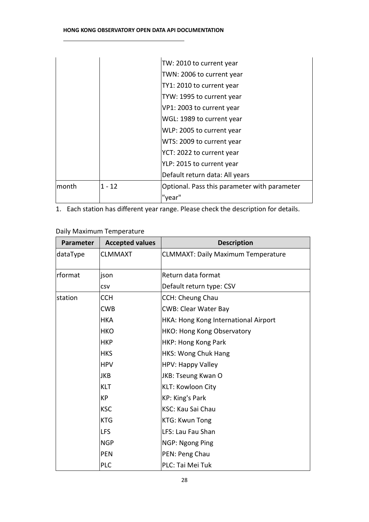|        |          | TW: 2010 to current year                     |
|--------|----------|----------------------------------------------|
|        |          | TWN: 2006 to current year                    |
|        |          | TY1: 2010 to current year                    |
|        |          | TYW: 1995 to current year                    |
|        |          | VP1: 2003 to current year                    |
|        |          | WGL: 1989 to current year                    |
|        |          | WLP: 2005 to current year                    |
|        |          | WTS: 2009 to current year                    |
|        |          | YCT: 2022 to current year                    |
|        |          | YLP: 2015 to current year                    |
|        |          | Default return data: All years               |
| lmonth | $1 - 12$ | Optional. Pass this parameter with parameter |
|        |          | 'year"                                       |

1. Each station has different year range. Please check the description for details.

Daily Maximum Temperature

| <b>Parameter</b> | <b>Accepted values</b> | <b>Description</b>                        |
|------------------|------------------------|-------------------------------------------|
| dataType         | <b>CLMMAXT</b>         | <b>CLMMAXT: Daily Maximum Temperature</b> |
| rformat          | json                   | Return data format                        |
|                  | <b>CSV</b>             | Default return type: CSV                  |
| station          | <b>CCH</b>             | <b>CCH: Cheung Chau</b>                   |
|                  | <b>CWB</b>             | <b>CWB: Clear Water Bay</b>               |
|                  | <b>HKA</b>             | HKA: Hong Kong International Airport      |
|                  | <b>HKO</b>             | HKO: Hong Kong Observatory                |
|                  | <b>HKP</b>             | HKP: Hong Kong Park                       |
|                  | <b>HKS</b>             | HKS: Wong Chuk Hang                       |
|                  | <b>HPV</b>             | HPV: Happy Valley                         |
|                  | JKB                    | JKB: Tseung Kwan O                        |
|                  | <b>KLT</b>             | KLT: Kowloon City                         |
|                  | <b>KP</b>              | KP: King's Park                           |
|                  | <b>KSC</b>             | KSC: Kau Sai Chau                         |
|                  | <b>KTG</b>             | KTG: Kwun Tong                            |
|                  | <b>LFS</b>             | LFS: Lau Fau Shan                         |
|                  | <b>NGP</b>             | NGP: Ngong Ping                           |
|                  | <b>PEN</b>             | PEN: Peng Chau                            |
|                  | <b>PLC</b>             | PLC: Tai Mei Tuk                          |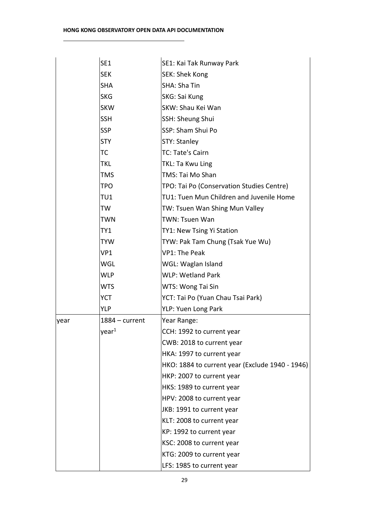|      | SE1               | SE1: Kai Tak Runway Park                        |
|------|-------------------|-------------------------------------------------|
|      | <b>SEK</b>        | SEK: Shek Kong                                  |
|      | <b>SHA</b>        | SHA: Sha Tin                                    |
|      | <b>SKG</b>        | SKG: Sai Kung                                   |
|      | <b>SKW</b>        | SKW: Shau Kei Wan                               |
|      | <b>SSH</b>        | SSH: Sheung Shui                                |
|      | <b>SSP</b>        | SSP: Sham Shui Po                               |
|      | <b>STY</b>        | STY: Stanley                                    |
|      | ТC                | TC: Tate's Cairn                                |
|      | TKL               | TKL: Ta Kwu Ling                                |
|      | TMS               | TMS: Tai Mo Shan                                |
|      | <b>TPO</b>        | TPO: Tai Po (Conservation Studies Centre)       |
|      | TU1               | TU1: Tuen Mun Children and Juvenile Home        |
|      | TW                | TW: Tsuen Wan Shing Mun Valley                  |
|      | TWN               | TWN: Tsuen Wan                                  |
|      | TY1               | TY1: New Tsing Yi Station                       |
|      | <b>TYW</b>        | TYW: Pak Tam Chung (Tsak Yue Wu)                |
|      | VP1               | <b>VP1: The Peak</b>                            |
|      | WGL               | WGL: Waglan Island                              |
|      | <b>WLP</b>        | <b>WLP: Wetland Park</b>                        |
|      | <b>WTS</b>        | WTS: Wong Tai Sin                               |
|      | <b>YCT</b>        | YCT: Tai Po (Yuan Chau Tsai Park)               |
|      | YLP               | YLP: Yuen Long Park                             |
| year | $1884 - current$  | Year Range:                                     |
|      | year <sup>1</sup> | CCH: 1992 to current year                       |
|      |                   | CWB: 2018 to current year                       |
|      |                   | HKA: 1997 to current year                       |
|      |                   | HKO: 1884 to current year (Exclude 1940 - 1946) |
|      |                   | HKP: 2007 to current year                       |
|      |                   | HKS: 1989 to current year                       |
|      |                   | HPV: 2008 to current year                       |
|      |                   | JKB: 1991 to current year                       |
|      |                   | KLT: 2008 to current year                       |
|      |                   | KP: 1992 to current year                        |
|      |                   | KSC: 2008 to current year                       |
|      |                   | KTG: 2009 to current year                       |
|      |                   | LFS: 1985 to current year                       |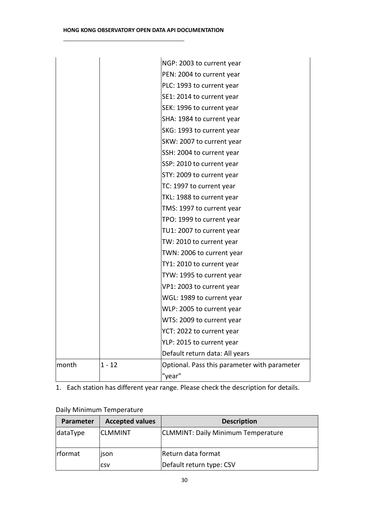|       |        | NGP: 2003 to current year                    |
|-------|--------|----------------------------------------------|
|       |        | PEN: 2004 to current year                    |
|       |        | PLC: 1993 to current year                    |
|       |        | SE1: 2014 to current year                    |
|       |        | SEK: 1996 to current year                    |
|       |        | SHA: 1984 to current year                    |
|       |        | SKG: 1993 to current year                    |
|       |        | SKW: 2007 to current year                    |
|       |        | SSH: 2004 to current year                    |
|       |        | SSP: 2010 to current year                    |
|       |        | STY: 2009 to current year                    |
|       |        | TC: 1997 to current year                     |
|       |        | TKL: 1988 to current year                    |
|       |        | TMS: 1997 to current year                    |
|       |        | TPO: 1999 to current year                    |
|       |        | TU1: 2007 to current year                    |
|       |        | TW: 2010 to current year                     |
|       |        | TWN: 2006 to current year                    |
|       |        | TY1: 2010 to current year                    |
|       |        | TYW: 1995 to current year                    |
|       |        | VP1: 2003 to current year                    |
|       |        | WGL: 1989 to current year                    |
|       |        | WLP: 2005 to current year                    |
|       |        | WTS: 2009 to current year                    |
|       |        | YCT: 2022 to current year                    |
|       |        | YLP: 2015 to current year                    |
|       |        | Default return data: All years               |
| month | 1 - 12 | Optional. Pass this parameter with parameter |
|       |        | "year"                                       |

1. Each station has different year range. Please check the description for details.

# Daily Minimum Temperature

| Parameter        | <b>Accepted values</b> | <b>Description</b>                 |
|------------------|------------------------|------------------------------------|
| dataType         | <b>CLMMINT</b>         | CLMMINT: Daily Minimum Temperature |
| <b>I</b> rformat | ison                   | Return data format                 |
|                  | <b>CSV</b>             | Default return type: CSV           |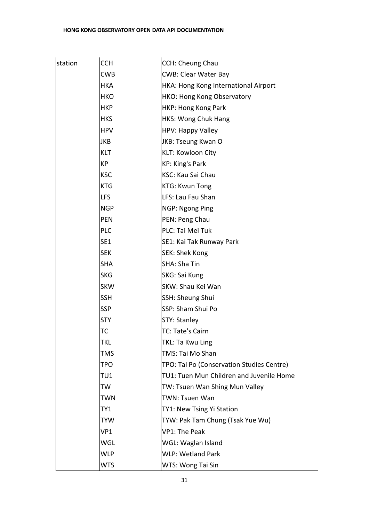| station | <b>CCH</b> | <b>CCH: Cheung Chau</b>                   |
|---------|------------|-------------------------------------------|
|         | <b>CWB</b> | <b>CWB: Clear Water Bay</b>               |
|         | <b>HKA</b> | HKA: Hong Kong International Airport      |
|         | <b>HKO</b> | HKO: Hong Kong Observatory                |
|         | <b>HKP</b> | HKP: Hong Kong Park                       |
|         | <b>HKS</b> | HKS: Wong Chuk Hang                       |
|         | <b>HPV</b> | HPV: Happy Valley                         |
|         | <b>JKB</b> | JKB: Tseung Kwan O                        |
|         | <b>KLT</b> | KLT: Kowloon City                         |
|         | КP         | KP: King's Park                           |
|         | <b>KSC</b> | <b>KSC: Kau Sai Chau</b>                  |
|         | <b>KTG</b> | <b>KTG: Kwun Tong</b>                     |
|         | <b>LFS</b> | LFS: Lau Fau Shan                         |
|         | <b>NGP</b> | NGP: Ngong Ping                           |
|         | <b>PEN</b> | PEN: Peng Chau                            |
|         | <b>PLC</b> | PLC: Tai Mei Tuk                          |
|         | SE1        | SE1: Kai Tak Runway Park                  |
|         | <b>SEK</b> | SEK: Shek Kong                            |
|         | <b>SHA</b> | SHA: Sha Tin                              |
|         | <b>SKG</b> | SKG: Sai Kung                             |
|         | <b>SKW</b> | SKW: Shau Kei Wan                         |
|         | <b>SSH</b> | SSH: Sheung Shui                          |
|         | <b>SSP</b> | SSP: Sham Shui Po                         |
|         | <b>STY</b> | <b>STY: Stanley</b>                       |
|         | ТC         | TC: Tate's Cairn                          |
|         | TKL        | TKL: Ta Kwu Ling                          |
|         | TMS        | TMS: Tai Mo Shan                          |
|         | TPO        | TPO: Tai Po (Conservation Studies Centre) |
|         | TU1        | TU1: Tuen Mun Children and Juvenile Home  |
|         | TW         | TW: Tsuen Wan Shing Mun Valley            |
|         | TWN        | <b>TWN: Tsuen Wan</b>                     |
|         | TY1        | TY1: New Tsing Yi Station                 |
|         | <b>TYW</b> | TYW: Pak Tam Chung (Tsak Yue Wu)          |
|         | VP1        | <b>VP1: The Peak</b>                      |
|         | <b>WGL</b> | WGL: Waglan Island                        |
|         | <b>WLP</b> | <b>WLP: Wetland Park</b>                  |
|         | <b>WTS</b> | WTS: Wong Tai Sin                         |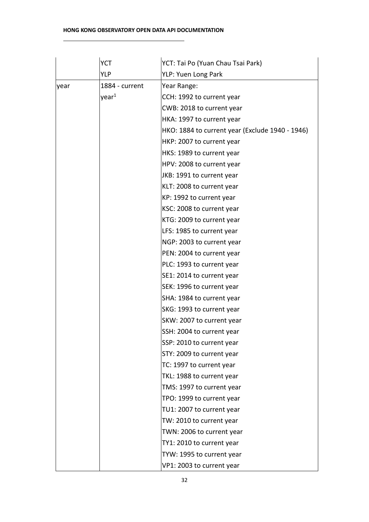#### **HONG KONG OBSERVATORY OPEN DATA API DOCUMENTATION**

|      | <b>YCT</b>        | YCT: Tai Po (Yuan Chau Tsai Park)               |
|------|-------------------|-------------------------------------------------|
|      | <b>YLP</b>        | YLP: Yuen Long Park                             |
| year | 1884 - current    | Year Range:                                     |
|      | year <sup>1</sup> | CCH: 1992 to current year                       |
|      |                   | CWB: 2018 to current year                       |
|      |                   | HKA: 1997 to current year                       |
|      |                   | HKO: 1884 to current year (Exclude 1940 - 1946) |
|      |                   | HKP: 2007 to current year                       |
|      |                   | HKS: 1989 to current year                       |
|      |                   | HPV: 2008 to current year                       |
|      |                   | JKB: 1991 to current year                       |
|      |                   | KLT: 2008 to current year                       |
|      |                   | KP: 1992 to current year                        |
|      |                   | KSC: 2008 to current year                       |
|      |                   | KTG: 2009 to current year                       |
|      |                   | LFS: 1985 to current year                       |
|      |                   | NGP: 2003 to current year                       |
|      |                   | PEN: 2004 to current year                       |
|      |                   | PLC: 1993 to current year                       |
|      |                   | SE1: 2014 to current year                       |
|      |                   | SEK: 1996 to current year                       |
|      |                   | SHA: 1984 to current year                       |
|      |                   | SKG: 1993 to current year                       |
|      |                   | SKW: 2007 to current year                       |
|      |                   | SSH: 2004 to current year                       |
|      |                   | SSP: 2010 to current year                       |
|      |                   | STY: 2009 to current year                       |
|      |                   | TC: 1997 to current year                        |
|      |                   | TKL: 1988 to current year                       |
|      |                   | TMS: 1997 to current year                       |
|      |                   | TPO: 1999 to current year                       |
|      |                   | TU1: 2007 to current year                       |
|      |                   | TW: 2010 to current year                        |
|      |                   | TWN: 2006 to current year                       |
|      |                   | TY1: 2010 to current year                       |
|      |                   | TYW: 1995 to current year                       |
|      |                   | VP1: 2003 to current year                       |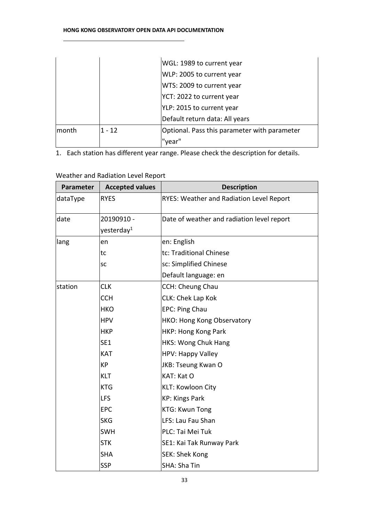|       |          | WGL: 1989 to current year                    |
|-------|----------|----------------------------------------------|
|       |          | WLP: 2005 to current year                    |
|       |          | WTS: 2009 to current year                    |
|       |          | YCT: 2022 to current year                    |
|       |          | YLP: 2015 to current year                    |
|       |          | Default return data: All years               |
| month | $1 - 12$ | Optional. Pass this parameter with parameter |
|       |          | 'year"                                       |

1. Each station has different year range. Please check the description for details.

| Parameter | <b>Accepted values</b> | <b>Description</b>                              |
|-----------|------------------------|-------------------------------------------------|
| dataType  | <b>RYES</b>            | <b>RYES: Weather and Radiation Level Report</b> |
| date      | 20190910 -             | Date of weather and radiation level report      |
|           | yesterday <sup>1</sup> |                                                 |
| lang      | en                     | en: English                                     |
|           | tc                     | tc: Traditional Chinese                         |
|           | <b>SC</b>              | sc: Simplified Chinese                          |
|           |                        | Default language: en                            |
| station   | <b>CLK</b>             | <b>CCH: Cheung Chau</b>                         |
|           | <b>CCH</b>             | CLK: Chek Lap Kok                               |
|           | <b>HKO</b>             | EPC: Ping Chau                                  |
|           | <b>HPV</b>             | HKO: Hong Kong Observatory                      |
|           | <b>HKP</b>             | HKP: Hong Kong Park                             |
|           | SE1                    | <b>HKS: Wong Chuk Hang</b>                      |
|           | <b>KAT</b>             | HPV: Happy Valley                               |
|           | КP                     | JKB: Tseung Kwan O                              |
|           | <b>KLT</b>             | <b>KAT: Kat O</b>                               |
|           | <b>KTG</b>             | KLT: Kowloon City                               |
|           | <b>LFS</b>             | <b>KP: Kings Park</b>                           |
|           | <b>EPC</b>             | <b>KTG: Kwun Tong</b>                           |
|           | <b>SKG</b>             | LFS: Lau Fau Shan                               |
|           | <b>SWH</b>             | PLC: Tai Mei Tuk                                |
|           | <b>STK</b>             | SE1: Kai Tak Runway Park                        |
|           | <b>SHA</b>             | SEK: Shek Kong                                  |
|           | <b>SSP</b>             | <b>SHA: Sha Tin</b>                             |

# Weather and Radiation Level Report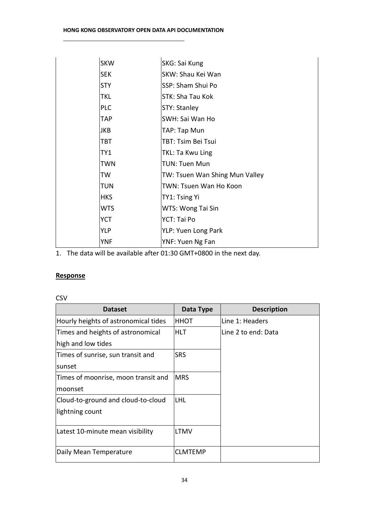| <b>SKW</b> | SKG: Sai Kung                  |
|------------|--------------------------------|
| <b>SEK</b> | SKW: Shau Kei Wan              |
| <b>STY</b> | SSP: Sham Shui Po              |
| TKL        | STK: Sha Tau Kok               |
| <b>PLC</b> | STY: Stanley                   |
| <b>TAP</b> | SWH: Sai Wan Ho                |
| JKB        | TAP: Tap Mun                   |
| TBT        | TBT: Tsim Bei Tsui             |
| TY1        | TKL: Ta Kwu Ling               |
| TWN        | <b>TUN: Tuen Mun</b>           |
| TW         | TW: Tsuen Wan Shing Mun Valley |
| TUN        | TWN: Tsuen Wan Ho Koon         |
| <b>HKS</b> | TY1: Tsing Yi                  |
| <b>WTS</b> | WTS: Wong Tai Sin              |
| <b>YCT</b> | YCT: Tai Po                    |
| <b>YLP</b> | YLP: Yuen Long Park            |
| <b>YNF</b> | YNF: Yuen Ng Fan               |

1. The data will be available after 01:30 GMT+0800 in the next day.

#### **Response**

#### CSV

| <b>Dataset</b>                       | Data Type   | <b>Description</b>  |
|--------------------------------------|-------------|---------------------|
| Hourly heights of astronomical tides | <b>HHOT</b> | Line 1: Headers     |
| Times and heights of astronomical    | HLT         | Line 2 to end: Data |
| high and low tides                   |             |                     |
| Times of sunrise, sun transit and    | <b>SRS</b>  |                     |
| sunset                               |             |                     |
| Times of moonrise, moon transit and  | <b>MRS</b>  |                     |
| Imoonset                             |             |                     |
| Cloud-to-ground and cloud-to-cloud   | ILHL        |                     |
| lightning count                      |             |                     |
|                                      |             |                     |
| Latest 10-minute mean visibility     | LTMV        |                     |
|                                      |             |                     |
| Daily Mean Temperature               | CLMTEMP     |                     |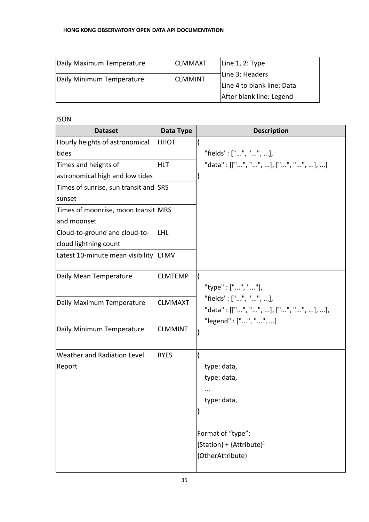| Daily Maximum Temperature | <b>CLMMAXT</b> | Line $1, 2$ : Type                                                        |
|---------------------------|----------------|---------------------------------------------------------------------------|
| Daily Minimum Temperature | <b>CLMMINT</b> | Line 3: Headers<br>Line 4 to blank line: Data<br>After blank line: Legend |

#### JSON

| <b>Dataset</b>                        | Data Type      | <b>Description</b>                                                                   |  |  |
|---------------------------------------|----------------|--------------------------------------------------------------------------------------|--|--|
| Hourly heights of astronomical        | <b>HHOT</b>    |                                                                                      |  |  |
| tides                                 |                | "fields': ["", "", ],                                                                |  |  |
| Times and heights of                  | HLT            | "data": [["", "", ], ["", "", ], ]                                                   |  |  |
| astronomical high and low tides       |                | ł                                                                                    |  |  |
| Times of sunrise, sun transit and SRS |                |                                                                                      |  |  |
| sunset                                |                |                                                                                      |  |  |
| Times of moonrise, moon transit MRS   |                |                                                                                      |  |  |
| and moonset                           |                |                                                                                      |  |  |
| Cloud-to-ground and cloud-to-         | <b>LHL</b>     |                                                                                      |  |  |
| cloud lightning count                 |                |                                                                                      |  |  |
| Latest 10-minute mean visibility LTMV |                |                                                                                      |  |  |
| Daily Mean Temperature                | <b>CLMTEMP</b> | "type": ["", ""],                                                                    |  |  |
| Daily Maximum Temperature             | <b>CLMMAXT</b> | "fields': ["", "", ],<br>"data": [["", "", ], ["", "", ], ],<br>"legend": ["", "", ] |  |  |
| Daily Minimum Temperature             | <b>CLMMINT</b> |                                                                                      |  |  |
| Weather and Radiation Level           | <b>RYES</b>    | ₹                                                                                    |  |  |
| Report                                |                | type: data,                                                                          |  |  |
|                                       |                | type: data,                                                                          |  |  |
|                                       |                |                                                                                      |  |  |
|                                       |                | type: data,                                                                          |  |  |
|                                       |                |                                                                                      |  |  |
|                                       |                | Format of "type":                                                                    |  |  |
|                                       |                | ${Station} + {Attribute}^1$                                                          |  |  |
|                                       |                | {OtherAttribute}                                                                     |  |  |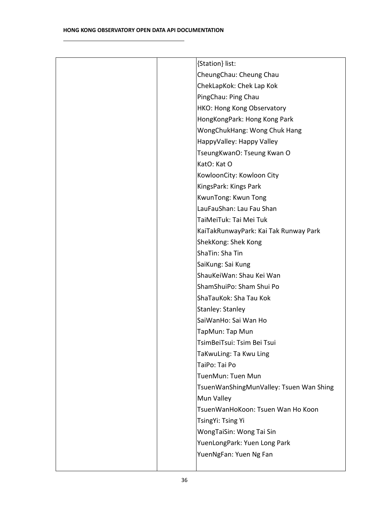| {Station} list:                         |
|-----------------------------------------|
| CheungChau: Cheung Chau                 |
| ChekLapKok: Chek Lap Kok                |
| PingChau: Ping Chau                     |
| HKO: Hong Kong Observatory              |
| HongKongPark: Hong Kong Park            |
| WongChukHang: Wong Chuk Hang            |
| HappyValley: Happy Valley               |
| TseungKwanO: Tseung Kwan O              |
| KatO: Kat O                             |
| KowloonCity: Kowloon City               |
| KingsPark: Kings Park                   |
| KwunTong: Kwun Tong                     |
| LauFauShan: Lau Fau Shan                |
| TaiMeiTuk: Tai Mei Tuk                  |
| KaiTakRunwayPark: Kai Tak Runway Park   |
| ShekKong: Shek Kong                     |
| ShaTin: Sha Tin                         |
| SaiKung: Sai Kung                       |
| ShauKeiWan: Shau Kei Wan                |
| ShamShuiPo: Sham Shui Po                |
| ShaTauKok: Sha Tau Kok                  |
| <b>Stanley: Stanley</b>                 |
| SaiWanHo: Sai Wan Ho                    |
| TapMun: Tap Mun                         |
| TsimBeiTsui: Tsim Bei Tsui              |
| TaKwuLing: Ta Kwu Ling                  |
| TaiPo: Tai Po                           |
| TuenMun: Tuen Mun                       |
| TsuenWanShingMunValley: Tsuen Wan Shing |
| Mun Valley                              |
| TsuenWanHoKoon: Tsuen Wan Ho Koon       |
| TsingYi: Tsing Yi                       |
| WongTaiSin: Wong Tai Sin                |
| YuenLongPark: Yuen Long Park            |
| YuenNgFan: Yuen Ng Fan                  |
|                                         |